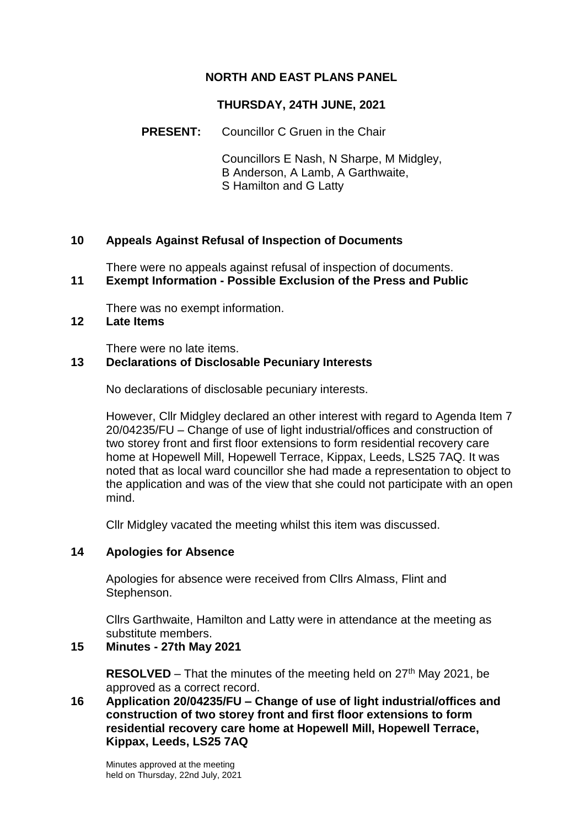## **NORTH AND EAST PLANS PANEL**

### **THURSDAY, 24TH JUNE, 2021**

#### **PRESENT:** Councillor C Gruen in the Chair

Councillors E Nash, N Sharpe, M Midgley, B Anderson, A Lamb, A Garthwaite, S Hamilton and G Latty

#### **10 Appeals Against Refusal of Inspection of Documents**

There were no appeals against refusal of inspection of documents.

# **11 Exempt Information - Possible Exclusion of the Press and Public**

There was no exempt information.

### **12 Late Items**

There were no late items.

#### **13 Declarations of Disclosable Pecuniary Interests**

No declarations of disclosable pecuniary interests.

However, Cllr Midgley declared an other interest with regard to Agenda Item 7 20/04235/FU – Change of use of light industrial/offices and construction of two storey front and first floor extensions to form residential recovery care home at Hopewell Mill, Hopewell Terrace, Kippax, Leeds, LS25 7AQ. It was noted that as local ward councillor she had made a representation to object to the application and was of the view that she could not participate with an open mind.

Cllr Midgley vacated the meeting whilst this item was discussed.

### **14 Apologies for Absence**

Apologies for absence were received from Cllrs Almass, Flint and Stephenson.

Cllrs Garthwaite, Hamilton and Latty were in attendance at the meeting as substitute members.

### **15 Minutes - 27th May 2021**

**RESOLVED** – That the minutes of the meeting held on  $27<sup>th</sup>$  May 2021, be approved as a correct record.

#### **16 Application 20/04235/FU – Change of use of light industrial/offices and construction of two storey front and first floor extensions to form residential recovery care home at Hopewell Mill, Hopewell Terrace, Kippax, Leeds, LS25 7AQ**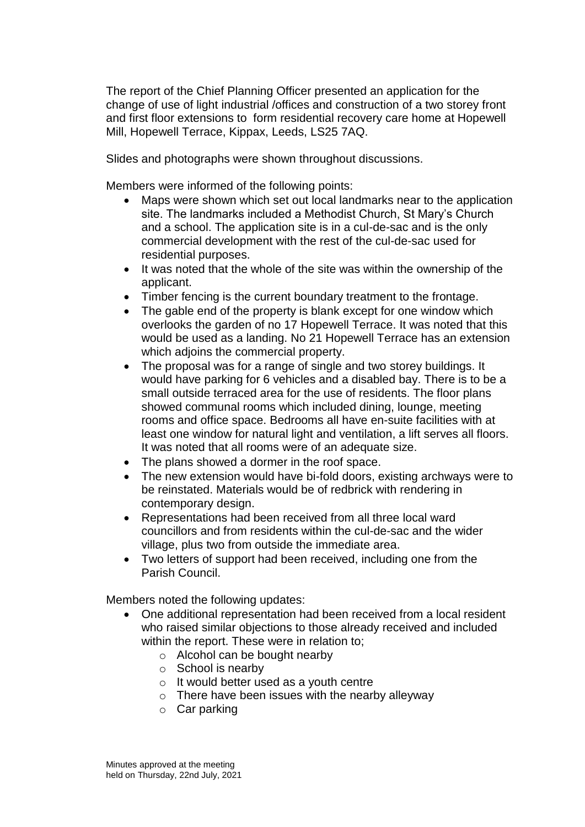The report of the Chief Planning Officer presented an application for the change of use of light industrial /offices and construction of a two storey front and first floor extensions to form residential recovery care home at Hopewell Mill, Hopewell Terrace, Kippax, Leeds, LS25 7AQ.

Slides and photographs were shown throughout discussions.

Members were informed of the following points:

- Maps were shown which set out local landmarks near to the application site. The landmarks included a Methodist Church, St Mary's Church and a school. The application site is in a cul-de-sac and is the only commercial development with the rest of the cul-de-sac used for residential purposes.
- It was noted that the whole of the site was within the ownership of the applicant.
- Timber fencing is the current boundary treatment to the frontage.
- The gable end of the property is blank except for one window which overlooks the garden of no 17 Hopewell Terrace. It was noted that this would be used as a landing. No 21 Hopewell Terrace has an extension which adjoins the commercial property.
- The proposal was for a range of single and two storey buildings. It would have parking for 6 vehicles and a disabled bay. There is to be a small outside terraced area for the use of residents. The floor plans showed communal rooms which included dining, lounge, meeting rooms and office space. Bedrooms all have en-suite facilities with at least one window for natural light and ventilation, a lift serves all floors. It was noted that all rooms were of an adequate size.
- The plans showed a dormer in the roof space.
- The new extension would have bi-fold doors, existing archways were to be reinstated. Materials would be of redbrick with rendering in contemporary design.
- Representations had been received from all three local ward councillors and from residents within the cul-de-sac and the wider village, plus two from outside the immediate area.
- Two letters of support had been received, including one from the Parish Council.

Members noted the following updates:

- One additional representation had been received from a local resident who raised similar objections to those already received and included within the report. These were in relation to:
	- o Alcohol can be bought nearby
	- o School is nearby
	- o It would better used as a youth centre
	- $\circ$  There have been issues with the nearby alleyway
	- o Car parking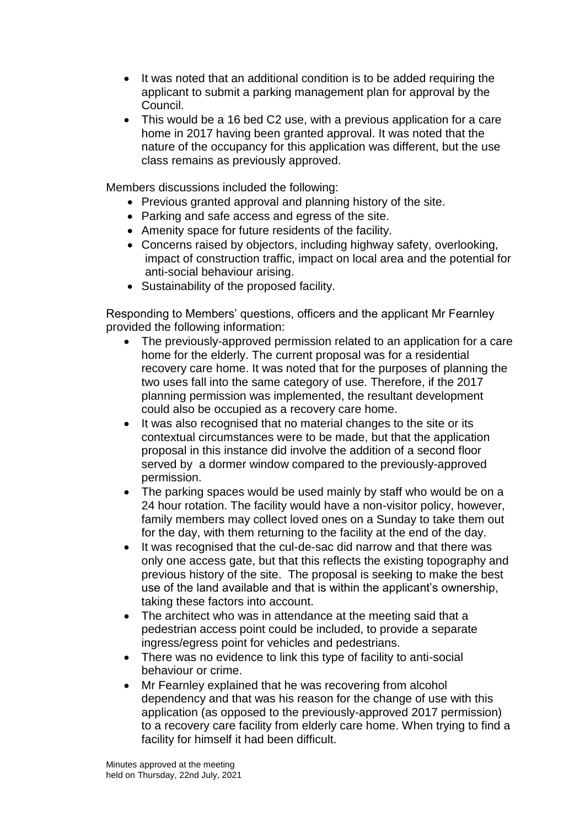- It was noted that an additional condition is to be added requiring the applicant to submit a parking management plan for approval by the Council.
- This would be a 16 bed C2 use, with a previous application for a care home in 2017 having been granted approval. It was noted that the nature of the occupancy for this application was different, but the use class remains as previously approved.

Members discussions included the following:

- Previous granted approval and planning history of the site.
- Parking and safe access and egress of the site.
- Amenity space for future residents of the facility.
- Concerns raised by objectors, including highway safety, overlooking, impact of construction traffic, impact on local area and the potential for anti-social behaviour arising.
- Sustainability of the proposed facility.

Responding to Members' questions, officers and the applicant Mr Fearnley provided the following information:

- The previously-approved permission related to an application for a care home for the elderly. The current proposal was for a residential recovery care home. It was noted that for the purposes of planning the two uses fall into the same category of use. Therefore, if the 2017 planning permission was implemented, the resultant development could also be occupied as a recovery care home.
- It was also recognised that no material changes to the site or its contextual circumstances were to be made, but that the application proposal in this instance did involve the addition of a second floor served by a dormer window compared to the previously-approved permission.
- The parking spaces would be used mainly by staff who would be on a 24 hour rotation. The facility would have a non-visitor policy, however, family members may collect loved ones on a Sunday to take them out for the day, with them returning to the facility at the end of the day.
- It was recognised that the cul-de-sac did narrow and that there was only one access gate, but that this reflects the existing topography and previous history of the site. The proposal is seeking to make the best use of the land available and that is within the applicant's ownership, taking these factors into account.
- The architect who was in attendance at the meeting said that a pedestrian access point could be included, to provide a separate ingress/egress point for vehicles and pedestrians.
- There was no evidence to link this type of facility to anti-social behaviour or crime.
- Mr Fearnley explained that he was recovering from alcohol dependency and that was his reason for the change of use with this application (as opposed to the previously-approved 2017 permission) to a recovery care facility from elderly care home. When trying to find a facility for himself it had been difficult.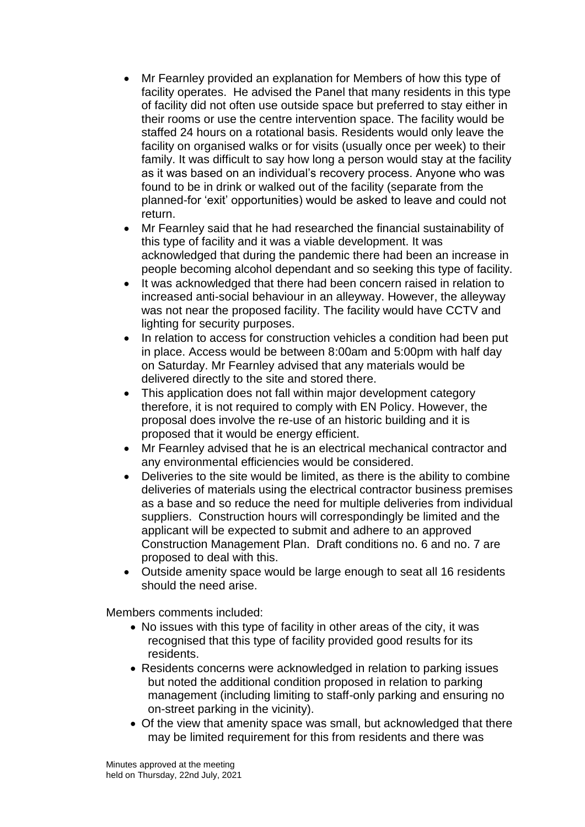- Mr Fearnley provided an explanation for Members of how this type of facility operates. He advised the Panel that many residents in this type of facility did not often use outside space but preferred to stay either in their rooms or use the centre intervention space. The facility would be staffed 24 hours on a rotational basis. Residents would only leave the facility on organised walks or for visits (usually once per week) to their family. It was difficult to say how long a person would stay at the facility as it was based on an individual's recovery process. Anyone who was found to be in drink or walked out of the facility (separate from the planned-for 'exit' opportunities) would be asked to leave and could not return.
- Mr Fearnley said that he had researched the financial sustainability of this type of facility and it was a viable development. It was acknowledged that during the pandemic there had been an increase in people becoming alcohol dependant and so seeking this type of facility.
- It was acknowledged that there had been concern raised in relation to increased anti-social behaviour in an alleyway. However, the alleyway was not near the proposed facility. The facility would have CCTV and lighting for security purposes.
- In relation to access for construction vehicles a condition had been put in place. Access would be between 8:00am and 5:00pm with half day on Saturday. Mr Fearnley advised that any materials would be delivered directly to the site and stored there.
- This application does not fall within major development category therefore, it is not required to comply with EN Policy. However, the proposal does involve the re-use of an historic building and it is proposed that it would be energy efficient.
- Mr Fearnley advised that he is an electrical mechanical contractor and any environmental efficiencies would be considered.
- Deliveries to the site would be limited, as there is the ability to combine deliveries of materials using the electrical contractor business premises as a base and so reduce the need for multiple deliveries from individual suppliers. Construction hours will correspondingly be limited and the applicant will be expected to submit and adhere to an approved Construction Management Plan. Draft conditions no. 6 and no. 7 are proposed to deal with this.
- Outside amenity space would be large enough to seat all 16 residents should the need arise.

Members comments included:

- No issues with this type of facility in other areas of the city, it was recognised that this type of facility provided good results for its residents.
- Residents concerns were acknowledged in relation to parking issues but noted the additional condition proposed in relation to parking management (including limiting to staff-only parking and ensuring no on-street parking in the vicinity).
- Of the view that amenity space was small, but acknowledged that there may be limited requirement for this from residents and there was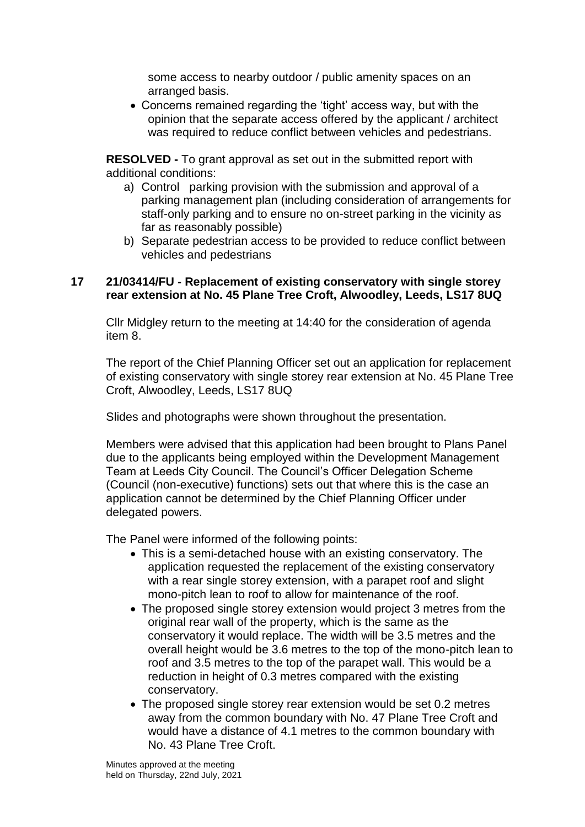some access to nearby outdoor / public amenity spaces on an arranged basis.

 Concerns remained regarding the 'tight' access way, but with the opinion that the separate access offered by the applicant / architect was required to reduce conflict between vehicles and pedestrians.

**RESOLVED -** To grant approval as set out in the submitted report with additional conditions:

- a) Control parking provision with the submission and approval of a parking management plan (including consideration of arrangements for staff-only parking and to ensure no on-street parking in the vicinity as far as reasonably possible)
- b) Separate pedestrian access to be provided to reduce conflict between vehicles and pedestrians

#### **17 21/03414/FU - Replacement of existing conservatory with single storey rear extension at No. 45 Plane Tree Croft, Alwoodley, Leeds, LS17 8UQ**

Cllr Midgley return to the meeting at 14:40 for the consideration of agenda item 8.

The report of the Chief Planning Officer set out an application for replacement of existing conservatory with single storey rear extension at No. 45 Plane Tree Croft, Alwoodley, Leeds, LS17 8UQ

Slides and photographs were shown throughout the presentation.

Members were advised that this application had been brought to Plans Panel due to the applicants being employed within the Development Management Team at Leeds City Council. The Council's Officer Delegation Scheme (Council (non-executive) functions) sets out that where this is the case an application cannot be determined by the Chief Planning Officer under delegated powers.

The Panel were informed of the following points:

- This is a semi-detached house with an existing conservatory. The application requested the replacement of the existing conservatory with a rear single storey extension, with a parapet roof and slight mono-pitch lean to roof to allow for maintenance of the roof.
- The proposed single storey extension would project 3 metres from the original rear wall of the property, which is the same as the conservatory it would replace. The width will be 3.5 metres and the overall height would be 3.6 metres to the top of the mono-pitch lean to roof and 3.5 metres to the top of the parapet wall. This would be a reduction in height of 0.3 metres compared with the existing conservatory.
- The proposed single storey rear extension would be set 0.2 metres away from the common boundary with No. 47 Plane Tree Croft and would have a distance of 4.1 metres to the common boundary with No. 43 Plane Tree Croft.